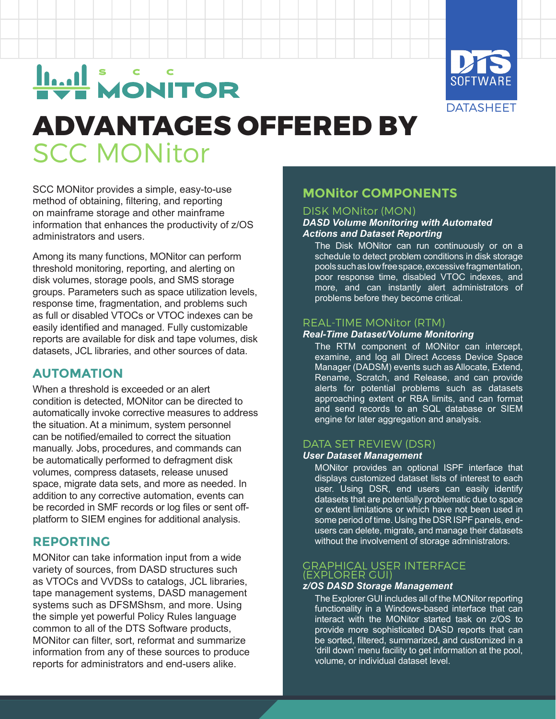

# **Lui MONITOR**

# **ADVANTAGES OFFERED BY** SCC MONitor

SCC MONitor provides a simple, easy-to-use method of obtaining, filtering, and reporting on mainframe storage and other mainframe information that enhances the productivity of z/OS administrators and users.

Among its many functions, MONitor can perform threshold monitoring, reporting, and alerting on disk volumes, storage pools, and SMS storage groups. Parameters such as space utilization levels, response time, fragmentation, and problems such as full or disabled VTOCs or VTOC indexes can be easily identified and managed. Fully customizable reports are available for disk and tape volumes, disk datasets, JCL libraries, and other sources of data.

# **AUTOMATION**

When a threshold is exceeded or an alert condition is detected, MONitor can be directed to automatically invoke corrective measures to address the situation. At a minimum, system personnel can be notified/emailed to correct the situation manually. Jobs, procedures, and commands can be automatically performed to defragment disk volumes, compress datasets, release unused space, migrate data sets, and more as needed. In addition to any corrective automation, events can be recorded in SMF records or log files or sent offplatform to SIEM engines for additional analysis.

# **REPORTING**

MONitor can take information input from a wide variety of sources, from DASD structures such as VTOCs and VVDSs to catalogs, JCL libraries, tape management systems, DASD management systems such as DFSMShsm, and more. Using the simple yet powerful Policy Rules language common to all of the DTS Software products, MONitor can filter, sort, reformat and summarize information from any of these sources to produce reports for administrators and end-users alike.

# **MONitor COMPONENTS**

#### DISK MONitor (MON)

#### *DASD Volume Monitoring with Automated Actions and Dataset Reporting*

The Disk MONitor can run continuously or on a schedule to detect problem conditions in disk storage pools such as low free space, excessive fragmentation, poor response time, disabled VTOC indexes, and more, and can instantly alert administrators of problems before they become critical.

#### REAL-TIME MONitor (RTM)

#### *Real-Time Dataset/Volume Monitoring*

The RTM component of MONitor can intercept, examine, and log all Direct Access Device Space Manager (DADSM) events such as Allocate, Extend, Rename, Scratch, and Release, and can provide alerts for potential problems such as datasets approaching extent or RBA limits, and can format and send records to an SQL database or SIEM engine for later aggregation and analysis.

#### DATA SET REVIEW (DSR)

#### *User Dataset Management*

MONitor provides an optional ISPF interface that displays customized dataset lists of interest to each user. Using DSR, end users can easily identify datasets that are potentially problematic due to space or extent limitations or which have not been used in some period of time. Using the DSR ISPF panels, endusers can delete, migrate, and manage their datasets without the involvement of storage administrators.

#### GRAPHICAL USER INTERFACE (EXPLORER GUI)

#### *z/OS DASD Storage Management*

The Explorer GUI includes all of the MONitor reporting functionality in a Windows-based interface that can interact with the MONitor started task on z/OS to provide more sophisticated DASD reports that can be sorted, filtered, summarized, and customized in a 'drill down' menu facility to get information at the pool, volume, or individual dataset level.